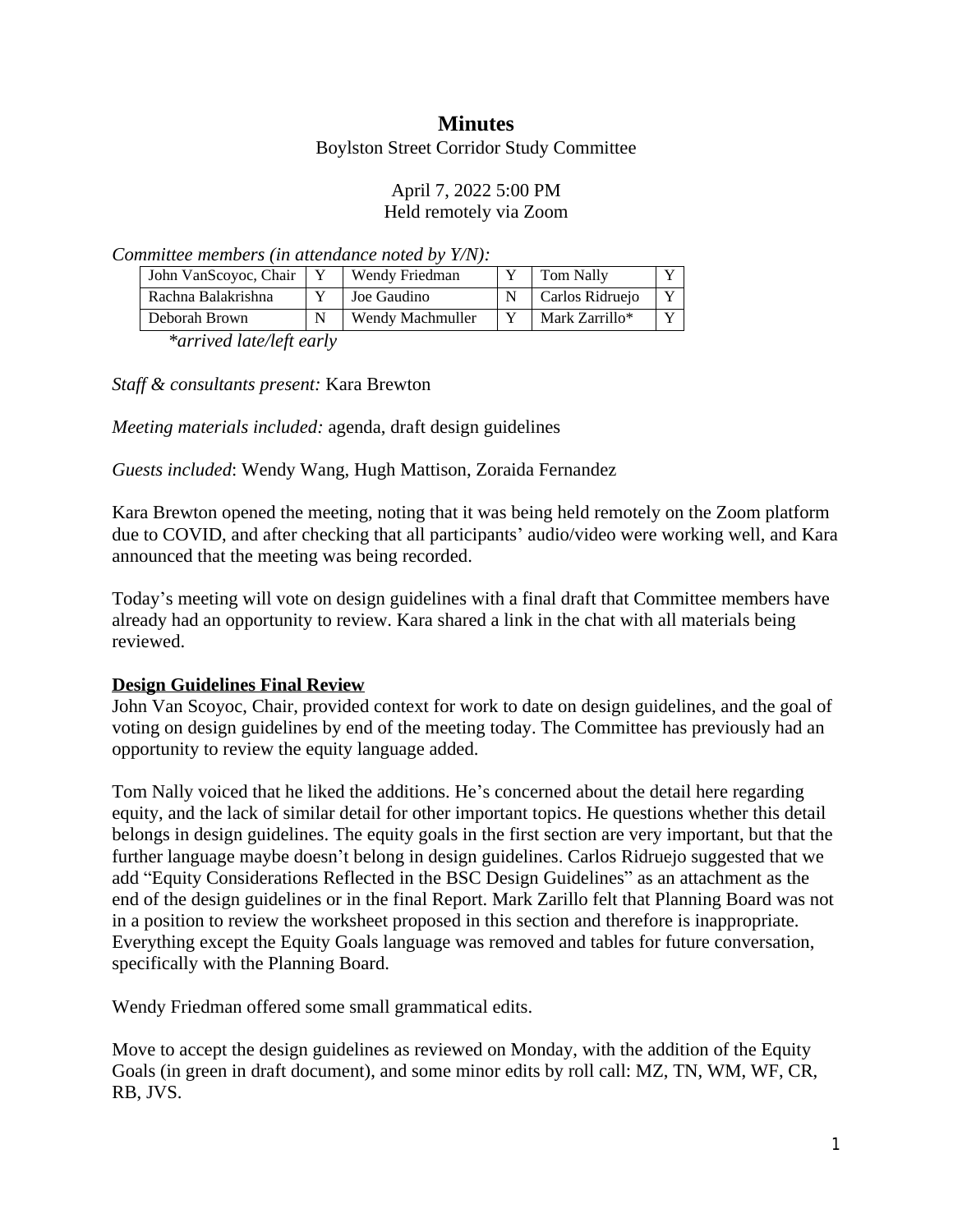# **Minutes**

Boylston Street Corridor Study Committee

#### April 7, 2022 5:00 PM Held remotely via Zoom

*Committee members (in attendance noted by Y/N):*

| John VanScoyoc, Chair | Wendy Friedman   | <b>Tom Nally</b> | $\mathbf{v}$ |
|-----------------------|------------------|------------------|--------------|
| Rachna Balakrishna    | Joe Gaudino      | Carlos Ridruejo  | $\mathbf{x}$ |
| Deborah Brown         | Wendy Machmuller | Mark Zarrillo*   |              |

*\*arrived late/left early*

*Staff & consultants present:* Kara Brewton

*Meeting materials included:* agenda, draft design guidelines

*Guests included*: Wendy Wang, Hugh Mattison, Zoraida Fernandez

Kara Brewton opened the meeting, noting that it was being held remotely on the Zoom platform due to COVID, and after checking that all participants' audio/video were working well, and Kara announced that the meeting was being recorded.

Today's meeting will vote on design guidelines with a final draft that Committee members have already had an opportunity to review. Kara shared a link in the chat with all materials being reviewed.

## **Design Guidelines Final Review**

John Van Scoyoc, Chair, provided context for work to date on design guidelines, and the goal of voting on design guidelines by end of the meeting today. The Committee has previously had an opportunity to review the equity language added.

Tom Nally voiced that he liked the additions. He's concerned about the detail here regarding equity, and the lack of similar detail for other important topics. He questions whether this detail belongs in design guidelines. The equity goals in the first section are very important, but that the further language maybe doesn't belong in design guidelines. Carlos Ridruejo suggested that we add "Equity Considerations Reflected in the BSC Design Guidelines" as an attachment as the end of the design guidelines or in the final Report. Mark Zarillo felt that Planning Board was not in a position to review the worksheet proposed in this section and therefore is inappropriate. Everything except the Equity Goals language was removed and tables for future conversation, specifically with the Planning Board.

Wendy Friedman offered some small grammatical edits.

Move to accept the design guidelines as reviewed on Monday, with the addition of the Equity Goals (in green in draft document), and some minor edits by roll call: MZ, TN, WM, WF, CR, RB, JVS.